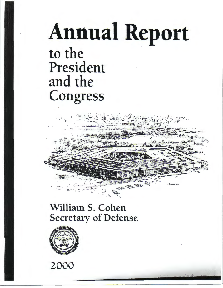## **Annual Report** to the President and the Congress

## William S. Cohen **Secretary of Defense**



2000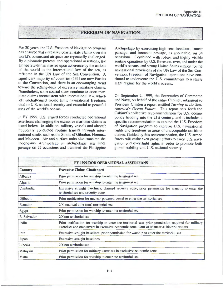## • FREEDOM OF NAVIGATION

For 20 years, the U.S. Freedom of Navigation program has ensured that excessive coastal state claims over the world's oceans and airspace are repeatedly challenged. By diplomatic protests and operational assertions, the United States has insisted upon adherence by the nations of the world to the international law of the sea, as reflected in the UN Law of the Sea Convention. A significant majority of countries ( 131) are now Parties to the Convention, and there is an encouraging trend toward the rolling-back of excessive maritime claims. Nonetheless, some coastal states continue to assert maritime claims inconsistent with international law, which left unchallenged would limit navigational freedoms vital to U.S. national security and essential to peaceful uses of the world's oceans.

In FY 1999, U.S. armed forces conducted operational assertions challenging the excessive maritime claims as listed below. In addition, military vessels and aircraft frequently conducted routine transits through international straits, such as the Straits of Gibraltar, Hormuz, and Malacca. Air and surface units also transited the Indonesian Archipelago in archipelagic sea lanes passage on 22 occasions and transited the Philippine

Archipelago by exercising high seas freedoms, transit passage, and innocent passage, as applicable, on 34 occasions. Combined with robust and highly visible routine operations by U.S. forces on, over, and under the world's oceans, and strong United States support for the navigational provisions of the UN Law of the Sea Convention, Freedom of Navigation operations have continued to underscore the U.S. commitment to a stable legal regime for the world's oceans.

On September 2, 1999, the Secretaries of Commerce and Navy, on behalf of the entire Cabinet, submitted to President Clinton a report entitled *Turning to the Sea: America·s Ocean Future.* This report sets forth the Cabinet's collective recommendations for U.S. oceans policy heading into the 21st century, and it includes a specific recommendation to expand the U.S. Freedom of Navigation program to exercise U.S. navigational rights and freedoms in areas of unacceptable maritime claims. Guided by this recommendation, the U.S. armed forces will make even greater efforts to assert U.S. navigation and overflight rights in order to promote both global stability and U.S. national security.

| FY 1999 DOD OPERATIONAL ASSERTIONS |                                                                                                                                                                                              |
|------------------------------------|----------------------------------------------------------------------------------------------------------------------------------------------------------------------------------------------|
| <b>Country</b>                     | <b>Excessive Claims Challenged</b>                                                                                                                                                           |
| <b>Albania</b>                     | Prior permission for warship to enter the territorial sea                                                                                                                                    |
| Algeria                            | Prior permission for warship to enter the territorial sea                                                                                                                                    |
| Cambodia                           | Excessive straight baselines; claimed security zone; prior permission for warship to enter the<br>territorial sea and security zone                                                          |
| Djibouti                           | Prior notification for nuclear-powered vessel to enter the territorial sea                                                                                                                   |
| Ecuador                            | 200 nautical mile (nm) territorial sea                                                                                                                                                       |
| Egypt                              | Prior permission for warship to enter the territorial sea                                                                                                                                    |
| <b>El Salvador</b>                 | 200nm territorial sea                                                                                                                                                                        |
| India                              | Prior notification for warship to enter the territorial sea; prior permission required for military<br>exercises and maneuvers in exclusive economic zone; Gulf of Manaar as historic waters |
| Iran                               | Excessive straight baselines; prior permission for warship to enter the territorial sea                                                                                                      |
| Japan                              | <b>Excessive straight baselines</b>                                                                                                                                                          |
| Liberia                            | 200 <sub>nm</sub> territorial sea                                                                                                                                                            |
| Malaysia                           | Prior permission for military exercises in exclusive economic zone                                                                                                                           |
| Malta                              | Prior permission for warship to enter the territorial sea                                                                                                                                    |